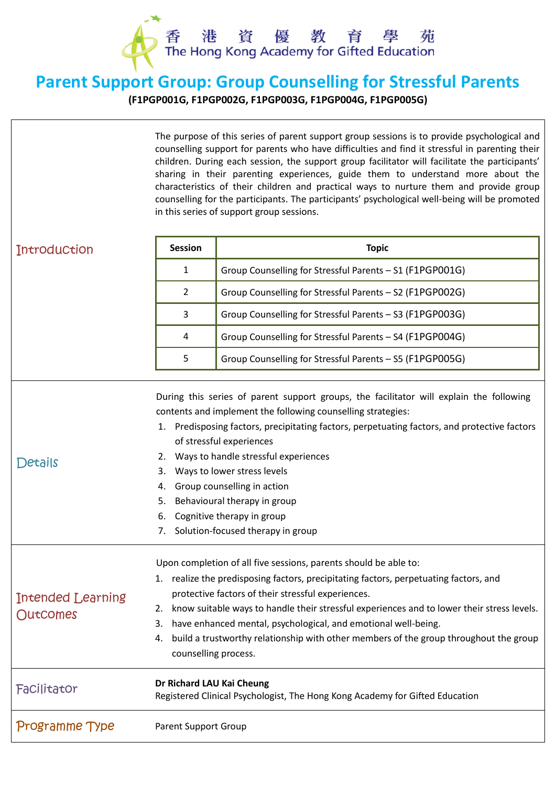## **Parent Support Group: Group Counselling for Stressful Parents**

香港資優教育學苑<br>The Hong Kong Academy for Gifted Education

**(F1PGP001G, F1PGP002G, F1PGP003G, F1PGP004G, F1PGP005G)**

The purpose of this series of parent support group sessions is to provide psychological and counselling support for parents who have difficulties and find it stressful in parenting their children. During each session, the support group facilitator will facilitate the participants' sharing in their parenting experiences, guide them to understand more about the characteristics of their children and practical ways to nurture them and provide group counselling for the participants. The participants' psychological well-being will be promoted in this series of support group sessions.

| <b>Introduction</b>           | <b>Session</b>                                                                                                                                                                                                                                                                                                                                                                                                                                                                                                     | <b>Topic</b>                                             |  |  |
|-------------------------------|--------------------------------------------------------------------------------------------------------------------------------------------------------------------------------------------------------------------------------------------------------------------------------------------------------------------------------------------------------------------------------------------------------------------------------------------------------------------------------------------------------------------|----------------------------------------------------------|--|--|
|                               | 1                                                                                                                                                                                                                                                                                                                                                                                                                                                                                                                  | Group Counselling for Stressful Parents - S1 (F1PGP001G) |  |  |
|                               | $\overline{2}$                                                                                                                                                                                                                                                                                                                                                                                                                                                                                                     | Group Counselling for Stressful Parents - S2 (F1PGP002G) |  |  |
|                               | 3                                                                                                                                                                                                                                                                                                                                                                                                                                                                                                                  | Group Counselling for Stressful Parents - S3 (F1PGP003G) |  |  |
|                               | 4                                                                                                                                                                                                                                                                                                                                                                                                                                                                                                                  | Group Counselling for Stressful Parents - S4 (F1PGP004G) |  |  |
|                               | 5                                                                                                                                                                                                                                                                                                                                                                                                                                                                                                                  | Group Counselling for Stressful Parents - S5 (F1PGP005G) |  |  |
| Details                       | During this series of parent support groups, the facilitator will explain the following<br>contents and implement the following counselling strategies:<br>1. Predisposing factors, precipitating factors, perpetuating factors, and protective factors<br>of stressful experiences<br>2. Ways to handle stressful experiences<br>3. Ways to lower stress levels<br>4. Group counselling in action<br>5. Behavioural therapy in group<br>6. Cognitive therapy in group<br>7. Solution-focused therapy in group     |                                                          |  |  |
| Intended Learning<br>Outcomes | Upon completion of all five sessions, parents should be able to:<br>1. realize the predisposing factors, precipitating factors, perpetuating factors, and<br>protective factors of their stressful experiences.<br>know suitable ways to handle their stressful experiences and to lower their stress levels.<br>2.<br>have enhanced mental, psychological, and emotional well-being.<br>3.<br>build a trustworthy relationship with other members of the group throughout the group<br>4.<br>counselling process. |                                                          |  |  |
| Facilitator                   | Dr Richard LAU Kai Cheung<br>Registered Clinical Psychologist, The Hong Kong Academy for Gifted Education                                                                                                                                                                                                                                                                                                                                                                                                          |                                                          |  |  |
| Programme Type                | <b>Parent Support Group</b>                                                                                                                                                                                                                                                                                                                                                                                                                                                                                        |                                                          |  |  |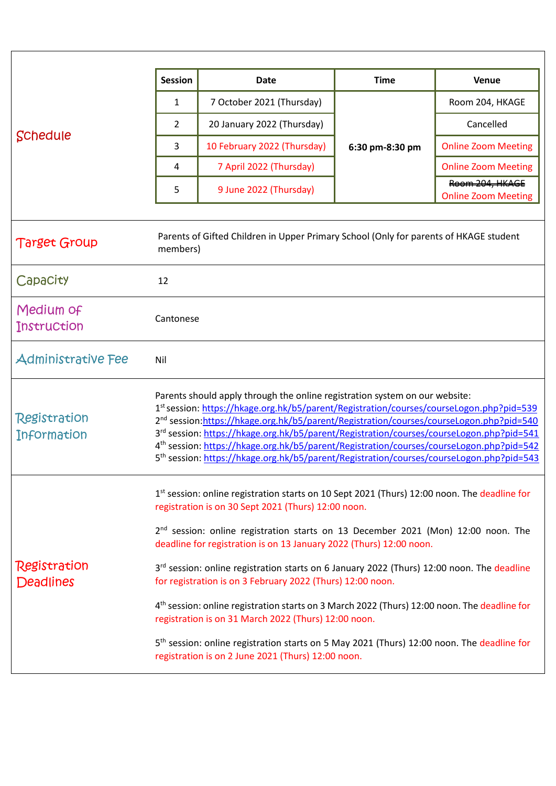| Schedule                        | <b>Session</b>                                                                                                                                                                                                                                                                                                                                                                                                                                                                                                                                                                             | Date                        | <b>Time</b>     | Venue                                         |  |
|---------------------------------|--------------------------------------------------------------------------------------------------------------------------------------------------------------------------------------------------------------------------------------------------------------------------------------------------------------------------------------------------------------------------------------------------------------------------------------------------------------------------------------------------------------------------------------------------------------------------------------------|-----------------------------|-----------------|-----------------------------------------------|--|
|                                 | $\mathbf{1}$                                                                                                                                                                                                                                                                                                                                                                                                                                                                                                                                                                               | 7 October 2021 (Thursday)   | 6:30 pm-8:30 pm | Room 204, HKAGE                               |  |
|                                 | $\overline{2}$                                                                                                                                                                                                                                                                                                                                                                                                                                                                                                                                                                             | 20 January 2022 (Thursday)  |                 | Cancelled                                     |  |
|                                 | 3                                                                                                                                                                                                                                                                                                                                                                                                                                                                                                                                                                                          | 10 February 2022 (Thursday) |                 | <b>Online Zoom Meeting</b>                    |  |
|                                 | 4                                                                                                                                                                                                                                                                                                                                                                                                                                                                                                                                                                                          | 7 April 2022 (Thursday)     |                 | <b>Online Zoom Meeting</b>                    |  |
|                                 | 5                                                                                                                                                                                                                                                                                                                                                                                                                                                                                                                                                                                          | 9 June 2022 (Thursday)      |                 | Room 204, HKAGE<br><b>Online Zoom Meeting</b> |  |
| <b>Target Group</b>             | Parents of Gifted Children in Upper Primary School (Only for parents of HKAGE student<br>members)                                                                                                                                                                                                                                                                                                                                                                                                                                                                                          |                             |                 |                                               |  |
| <b>Capacity</b>                 | 12                                                                                                                                                                                                                                                                                                                                                                                                                                                                                                                                                                                         |                             |                 |                                               |  |
| Medium of<br><b>Instruction</b> | Cantonese                                                                                                                                                                                                                                                                                                                                                                                                                                                                                                                                                                                  |                             |                 |                                               |  |
| <b>Administrative Fee</b>       | Nil                                                                                                                                                                                                                                                                                                                                                                                                                                                                                                                                                                                        |                             |                 |                                               |  |
| Registration<br>Information     | Parents should apply through the online registration system on our website:<br>1st session: https://hkage.org.hk/b5/parent/Registration/courses/courseLogon.php?pid=539<br>2 <sup>nd</sup> session:https://hkage.org.hk/b5/parent/Registration/courses/courseLogon.php?pid=540<br>3rd session: https://hkage.org.hk/b5/parent/Registration/courses/courseLogon.php?pid=541<br>4 <sup>th</sup> session: https://hkage.org.hk/b5/parent/Registration/courses/courseLogon.php?pid=542<br>5 <sup>th</sup> session: https://hkage.org.hk/b5/parent/Registration/courses/courseLogon.php?pid=543 |                             |                 |                                               |  |
| Registration<br>Deadlines       | 1st session: online registration starts on 10 Sept 2021 (Thurs) 12:00 noon. The deadline for<br>registration is on 30 Sept 2021 (Thurs) 12:00 noon.                                                                                                                                                                                                                                                                                                                                                                                                                                        |                             |                 |                                               |  |
|                                 | 2 <sup>nd</sup> session: online registration starts on 13 December 2021 (Mon) 12:00 noon. The<br>deadline for registration is on 13 January 2022 (Thurs) 12:00 noon.                                                                                                                                                                                                                                                                                                                                                                                                                       |                             |                 |                                               |  |
|                                 | 3rd session: online registration starts on 6 January 2022 (Thurs) 12:00 noon. The deadline<br>for registration is on 3 February 2022 (Thurs) 12:00 noon.                                                                                                                                                                                                                                                                                                                                                                                                                                   |                             |                 |                                               |  |
|                                 | 4 <sup>th</sup> session: online registration starts on 3 March 2022 (Thurs) 12:00 noon. The deadline for<br>registration is on 31 March 2022 (Thurs) 12:00 noon.                                                                                                                                                                                                                                                                                                                                                                                                                           |                             |                 |                                               |  |
|                                 | 5 <sup>th</sup> session: online registration starts on 5 May 2021 (Thurs) 12:00 noon. The deadline for<br>registration is on 2 June 2021 (Thurs) 12:00 noon.                                                                                                                                                                                                                                                                                                                                                                                                                               |                             |                 |                                               |  |